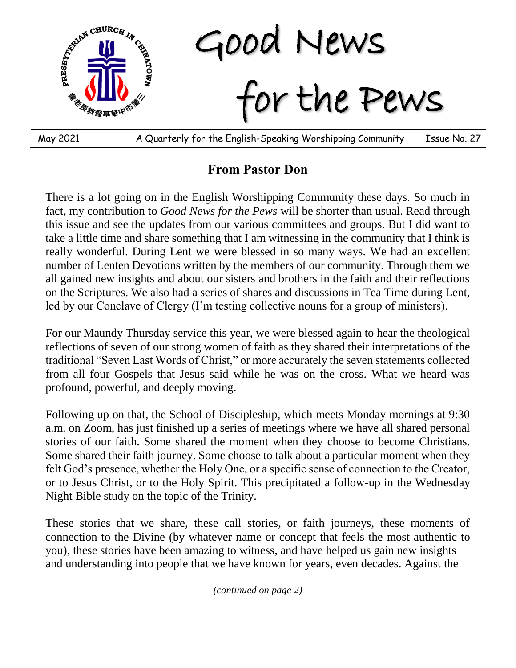

**From Pastor Don**

There is a lot going on in the English Worshipping Community these days. So much in fact, my contribution to *Good News for the Pews* will be shorter than usual. Read through this issue and see the updates from our various committees and groups. But I did want to take a little time and share something that I am witnessing in the community that I think is really wonderful. During Lent we were blessed in so many ways. We had an excellent number of Lenten Devotions written by the members of our community. Through them we all gained new insights and about our sisters and brothers in the faith and their reflections on the Scriptures. We also had a series of shares and discussions in Tea Time during Lent, led by our Conclave of Clergy (I'm testing collective nouns for a group of ministers).

For our Maundy Thursday service this year, we were blessed again to hear the theological reflections of seven of our strong women of faith as they shared their interpretations of the traditional "Seven Last Words of Christ," or more accurately the seven statements collected from all four Gospels that Jesus said while he was on the cross. What we heard was profound, powerful, and deeply moving.

Following up on that, the School of Discipleship, which meets Monday mornings at 9:30 a.m. on Zoom, has just finished up a series of meetings where we have all shared personal stories of our faith. Some shared the moment when they choose to become Christians. Some shared their faith journey. Some choose to talk about a particular moment when they felt God's presence, whether the Holy One, or a specific sense of connection to the Creator, or to Jesus Christ, or to the Holy Spirit. This precipitated a follow-up in the Wednesday Night Bible study on the topic of the Trinity.

These stories that we share, these call stories, or faith journeys, these moments of connection to the Divine (by whatever name or concept that feels the most authentic to you), these stories have been amazing to witness, and have helped us gain new insights and understanding into people that we have known for years, even decades. Against the

*(continued on page 2)*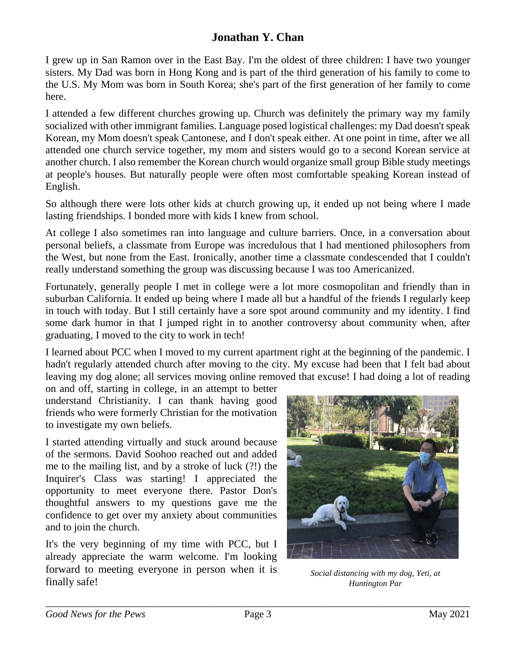## **Jonathan Y. Chan**

I grew up in San Ramon over in the East Bay. I'm the oldest of three children: I have two younger sisters. My Dad was born in Hong Kong and is part of the third generation of his family to come to the U.S. My Mom was born in South Korea; she's part of the first generation of her family to come here.

I attended a few different churches growing up. Church was definitely the primary way my family socialized with other immigrant families. Language posed logistical challenges: my Dad doesn't speak Korean, my Mom doesn't speak Cantonese, and I don't speak either. At one point in time, after we all attended one church service together, my mom and sisters would go to a second Korean service at another church. I also remember the Korean church would organize small group Bible study meetings at people's houses. But naturally people were often most comfortable speaking Korean instead of English.

So although there were lots other kids at church growing up, it ended up not being where I made lasting friendships. I bonded more with kids I knew from school.

At college I also sometimes ran into language and culture barriers. Once, in a conversation about personal beliefs, a classmate from Europe was incredulous that I had mentioned philosophers from the West, but none from the East. Ironically, another time a classmate condescended that I couldn't really understand something the group was discussing because I was too Americanized.

Fortunately, generally people I met in college were a lot more cosmopolitan and friendly than in suburban California. It ended up being where I made all but a handful of the friends I regularly keep in touch with today. But I still certainly have a sore spot around community and my identity. I find some dark humor in that I jumped right in to another controversy about community when, after graduating, I moved to the city to work in tech!

I learned about PCC when I moved to my current apartment right at the beginning of the pandemic. I hadn't regularly attended church after moving to the city. My excuse had been that I felt bad about leaving my dog alone; all services moving online removed that excuse! I had doing a lot of reading

on and off, starting in college, in an attempt to better understand Christianity. I can thank having good friends who were formerly Christian for the motivation to investigate my own beliefs.

I started attending virtually and stuck around because of the sermons. David Soohoo reached out and added me to the mailing list, and by a stroke of luck (?!) the Inquirer's Class was starting! I appreciated the opportunity to meet everyone there. Pastor Don's thoughtful answers to my questions gave me the confidence to get over my anxiety about communities and to join the church.

It's the very beginning of my time with PCC, but I already appreciate the warm welcome. I'm looking forward to meeting everyone in person when it is finally safe!



*Social distancing with my dog, Yeti, at Huntington Par*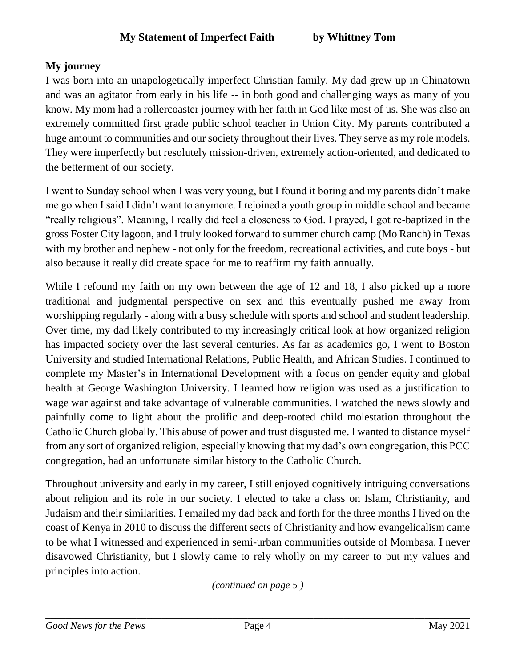## **My journey**

I was born into an unapologetically imperfect Christian family. My dad grew up in Chinatown and was an agitator from early in his life -- in both good and challenging ways as many of you know. My mom had a rollercoaster journey with her faith in God like most of us. She was also an extremely committed first grade public school teacher in Union City. My parents contributed a huge amount to communities and our society throughout their lives. They serve as my role models. They were imperfectly but resolutely mission-driven, extremely action-oriented, and dedicated to the betterment of our society.

I went to Sunday school when I was very young, but I found it boring and my parents didn't make me go when I said I didn't want to anymore. I rejoined a youth group in middle school and became "really religious". Meaning, I really did feel a closeness to God. I prayed, I got re-baptized in the gross Foster City lagoon, and I truly looked forward to summer church camp (Mo Ranch) in Texas with my brother and nephew - not only for the freedom, recreational activities, and cute boys - but also because it really did create space for me to reaffirm my faith annually.

While I refound my faith on my own between the age of 12 and 18, I also picked up a more traditional and judgmental perspective on sex and this eventually pushed me away from worshipping regularly - along with a busy schedule with sports and school and student leadership. Over time, my dad likely contributed to my increasingly critical look at how organized religion has impacted society over the last several centuries. As far as academics go, I went to Boston University and studied International Relations, Public Health, and African Studies. I continued to complete my Master's in International Development with a focus on gender equity and global health at George Washington University. I learned how religion was used as a justification to wage war against and take advantage of vulnerable communities. I watched the news slowly and painfully come to light about the prolific and deep-rooted child molestation throughout the Catholic Church globally. This abuse of power and trust disgusted me. I wanted to distance myself from any sort of organized religion, especially knowing that my dad's own congregation, this PCC congregation, had an unfortunate similar history to the Catholic Church.

Throughout university and early in my career, I still enjoyed cognitively intriguing conversations about religion and its role in our society. I elected to take a class on Islam, Christianity, and Judaism and their similarities. I emailed my dad back and forth for the three months I lived on the coast of Kenya in 2010 to discuss the different sects of Christianity and how evangelicalism came to be what I witnessed and experienced in semi-urban communities outside of Mombasa. I never disavowed Christianity, but I slowly came to rely wholly on my career to put my values and principles into action.

*(continued on page 5 )*